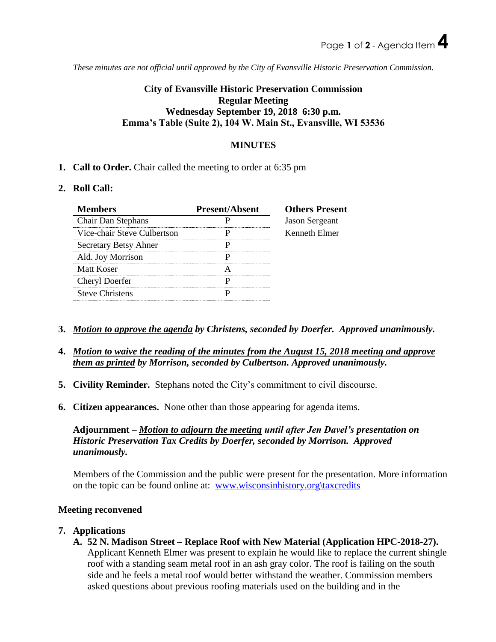*These minutes are not official until approved by the City of Evansville Historic Preservation Commission.*

# **City of Evansville Historic Preservation Commission Regular Meeting Wednesday September 19, 2018 6:30 p.m. Emma's Table (Suite 2), 104 W. Main St., Evansville, WI 53536**

### **MINUTES**

**1. Call to Order.** Chair called the meeting to order at 6:35 pm

#### **2. Roll Call:**

| <b>Members</b>              | <b>Present/Absent</b> | <b>Others Present</b> |
|-----------------------------|-----------------------|-----------------------|
| Chair Dan Stephans          |                       | <b>Jason Sergeant</b> |
| Vice-chair Steve Culbertson |                       | Kenneth Elmer         |
| Secretary Betsy Ahner       |                       |                       |
| Ald. Joy Morrison           |                       |                       |
| Matt Koser                  |                       |                       |
| Cheryl Doerfer              |                       |                       |
| <b>Steve Christens</b>      |                       |                       |

- **3.** *Motion to approve the agenda by Christens, seconded by Doerfer. Approved unanimously.*
- **4.** *Motion to waive the reading of the minutes from the August 15, 2018 meeting and approve them as printed by Morrison, seconded by Culbertson. Approved unanimously.*
- **5. Civility Reminder.** Stephans noted the City's commitment to civil discourse.
- **6. Citizen appearances.** None other than those appearing for agenda items.

**Adjournment –** *Motion to adjourn the meeting until after Jen Davel's presentation on Historic Preservation Tax Credits by Doerfer, seconded by Morrison. Approved unanimously.* 

Members of the Commission and the public were present for the presentation. More information on the topic can be found online at: [www.wisconsinhistory.org\taxcredits](http://www.wisconsinhistory.org/taxcredits)

### **Meeting reconvened**

#### **7. Applications**

**A. 52 N. Madison Street – Replace Roof with New Material (Application HPC-2018-27).** Applicant Kenneth Elmer was present to explain he would like to replace the current shingle roof with a standing seam metal roof in an ash gray color. The roof is failing on the south side and he feels a metal roof would better withstand the weather. Commission members asked questions about previous roofing materials used on the building and in the